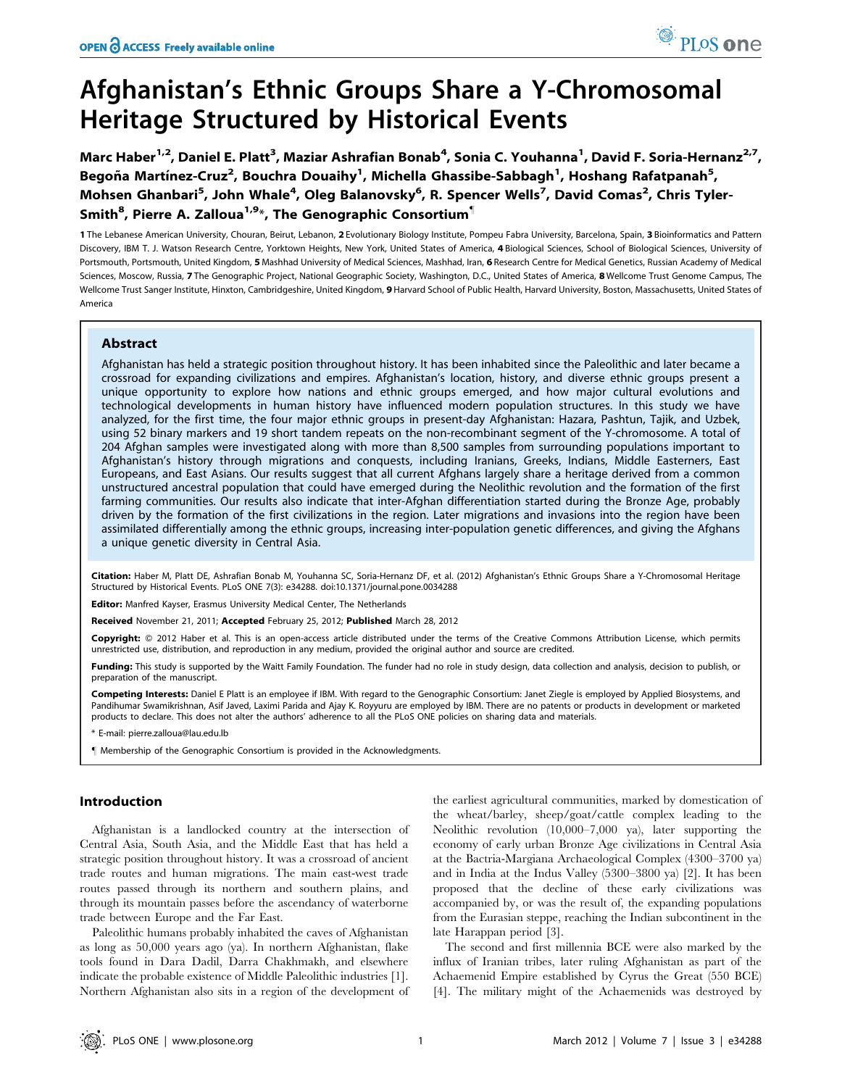# Afghanistan's Ethnic Groups Share a Y-Chromosomal Heritage Structured by Historical Events

Marc Haber<sup>1,2</sup>, Daniel E. Platt<sup>3</sup>, Maziar Ashrafian Bonab<sup>4</sup>, Sonia C. Youhanna<sup>1</sup>, David F. Soria-Hernanz<sup>2,7</sup>, Begoña Martínez-Cruz<sup>2</sup>, Bouchra Douaihy<sup>1</sup>, Michella Ghassibe-Sabbagh<sup>1</sup>, Hoshang Rafatpanah<sup>5</sup>, Mohsen Ghanbari<sup>5</sup>, John Whale<sup>4</sup>, Oleg Balanovsky<sup>6</sup>, R. Spencer Wells<sup>7</sup>, David Comas<sup>2</sup>, Chris Tyler-Smith $^{\bf 8}$ , Pierre A. Zalloua $^{\bf 1,\bf 9_*}$ , The Genographic Consortium $^{\bf 1\!}$ 

1 The Lebanese American University, Chouran, Beirut, Lebanon, 2 Evolutionary Biology Institute, Pompeu Fabra University, Barcelona, Spain, 3 Bioinformatics and Pattern Discovery, IBM T. J. Watson Research Centre, Yorktown Heights, New York, United States of America, 4 Biological Sciences, School of Biological Sciences, University of Portsmouth, Portsmouth, United Kingdom, 5 Mashhad University of Medical Sciences, Mashhad, Iran, 6 Research Centre for Medical Genetics, Russian Academy of Medical Sciences, Moscow, Russia, 7 The Genographic Project, National Geographic Society, Washington, D.C., United States of America, 8 Wellcome Trust Genome Campus, The Wellcome Trust Sanger Institute, Hinxton, Cambridgeshire, United Kingdom, 9 Harvard School of Public Health, Harvard University, Boston, Massachusetts, United States of America

## Abstract

Afghanistan has held a strategic position throughout history. It has been inhabited since the Paleolithic and later became a crossroad for expanding civilizations and empires. Afghanistan's location, history, and diverse ethnic groups present a unique opportunity to explore how nations and ethnic groups emerged, and how major cultural evolutions and technological developments in human history have influenced modern population structures. In this study we have analyzed, for the first time, the four major ethnic groups in present-day Afghanistan: Hazara, Pashtun, Tajik, and Uzbek, using 52 binary markers and 19 short tandem repeats on the non-recombinant segment of the Y-chromosome. A total of 204 Afghan samples were investigated along with more than 8,500 samples from surrounding populations important to Afghanistan's history through migrations and conquests, including Iranians, Greeks, Indians, Middle Easterners, East Europeans, and East Asians. Our results suggest that all current Afghans largely share a heritage derived from a common unstructured ancestral population that could have emerged during the Neolithic revolution and the formation of the first farming communities. Our results also indicate that inter-Afghan differentiation started during the Bronze Age, probably driven by the formation of the first civilizations in the region. Later migrations and invasions into the region have been assimilated differentially among the ethnic groups, increasing inter-population genetic differences, and giving the Afghans a unique genetic diversity in Central Asia.

Citation: Haber M, Platt DE, Ashrafian Bonab M, Youhanna SC, Soria-Hernanz DF, et al. (2012) Afghanistan's Ethnic Groups Share a Y-Chromosomal Heritage Structured by Historical Events. PLoS ONE 7(3): e34288. doi:10.1371/journal.pone.0034288

Editor: Manfred Kayser, Erasmus University Medical Center, The Netherlands

Received November 21, 2011; Accepted February 25, 2012; Published March 28, 2012

Copyright: © 2012 Haber et al. This is an open-access article distributed under the terms of the Creative Commons Attribution License, which permits unrestricted use, distribution, and reproduction in any medium, provided the original author and source are credited.

Funding: This study is supported by the Waitt Family Foundation. The funder had no role in study design, data collection and analysis, decision to publish, or preparation of the manuscript.

Competing Interests: Daniel E Platt is an employee if IBM. With regard to the Genographic Consortium: Janet Ziegle is employed by Applied Biosystems, and Pandihumar Swamikrishnan, Asif Javed, Laximi Parida and Ajay K. Royyuru are employed by IBM. There are no patents or products in development or marketed products to declare. This does not alter the authors' adherence to all the PLoS ONE policies on sharing data and materials.

\* E-mail: pierre.zalloua@lau.edu.lb

" Membership of the Genographic Consortium is provided in the Acknowledgments.

# Introduction

Afghanistan is a landlocked country at the intersection of Central Asia, South Asia, and the Middle East that has held a strategic position throughout history. It was a crossroad of ancient trade routes and human migrations. The main east-west trade routes passed through its northern and southern plains, and through its mountain passes before the ascendancy of waterborne trade between Europe and the Far East.

Paleolithic humans probably inhabited the caves of Afghanistan as long as 50,000 years ago (ya). In northern Afghanistan, flake tools found in Dara Dadil, Darra Chakhmakh, and elsewhere indicate the probable existence of Middle Paleolithic industries [1]. Northern Afghanistan also sits in a region of the development of the earliest agricultural communities, marked by domestication of the wheat/barley, sheep/goat/cattle complex leading to the Neolithic revolution (10,000–7,000 ya), later supporting the economy of early urban Bronze Age civilizations in Central Asia at the Bactria-Margiana Archaeological Complex (4300–3700 ya) and in India at the Indus Valley (5300–3800 ya) [2]. It has been proposed that the decline of these early civilizations was accompanied by, or was the result of, the expanding populations from the Eurasian steppe, reaching the Indian subcontinent in the late Harappan period [3].

The second and first millennia BCE were also marked by the influx of Iranian tribes, later ruling Afghanistan as part of the Achaemenid Empire established by Cyrus the Great (550 BCE) [4]. The military might of the Achaemenids was destroyed by

PLoS one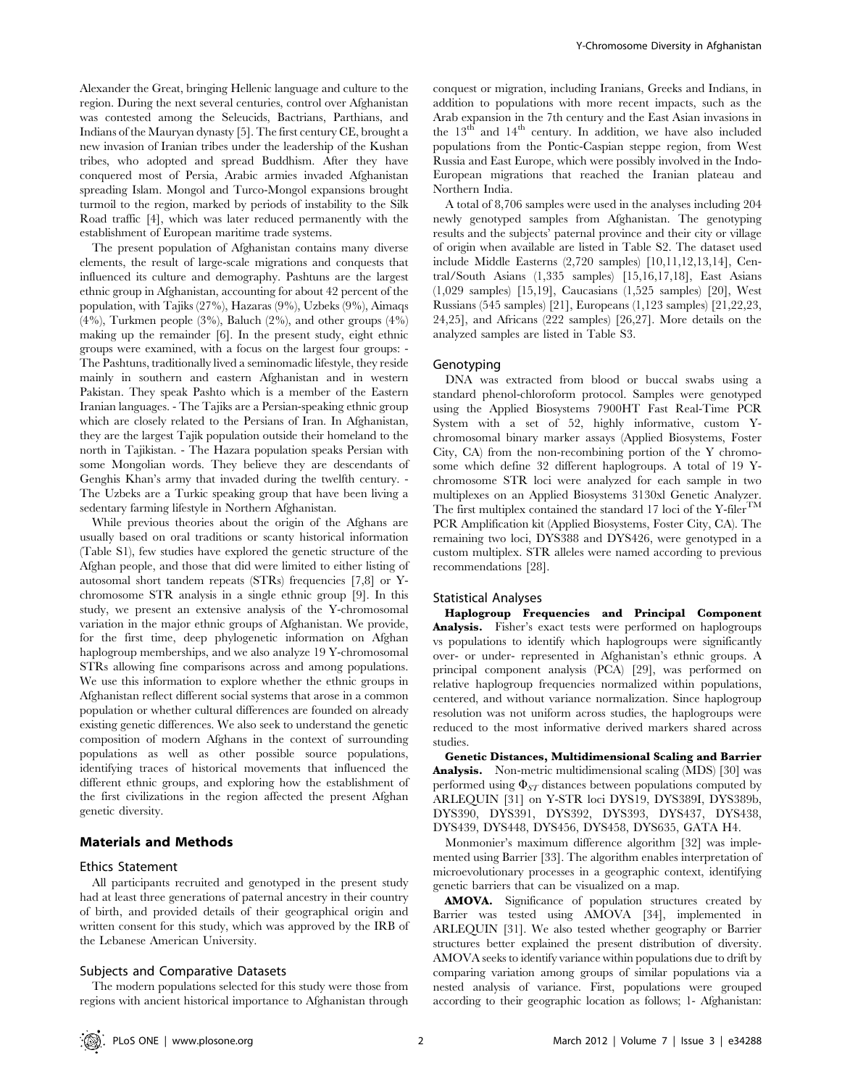Alexander the Great, bringing Hellenic language and culture to the region. During the next several centuries, control over Afghanistan was contested among the Seleucids, Bactrians, Parthians, and Indians of the Mauryan dynasty [5]. The first century CE, brought a new invasion of Iranian tribes under the leadership of the Kushan tribes, who adopted and spread Buddhism. After they have conquered most of Persia, Arabic armies invaded Afghanistan spreading Islam. Mongol and Turco-Mongol expansions brought turmoil to the region, marked by periods of instability to the Silk Road traffic [4], which was later reduced permanently with the establishment of European maritime trade systems.

The present population of Afghanistan contains many diverse elements, the result of large-scale migrations and conquests that influenced its culture and demography. Pashtuns are the largest ethnic group in Afghanistan, accounting for about 42 percent of the population, with Tajiks (27%), Hazaras (9%), Uzbeks (9%), Aimaqs (4%), Turkmen people (3%), Baluch (2%), and other groups (4%) making up the remainder [6]. In the present study, eight ethnic groups were examined, with a focus on the largest four groups: - The Pashtuns, traditionally lived a seminomadic lifestyle, they reside mainly in southern and eastern Afghanistan and in western Pakistan. They speak Pashto which is a member of the Eastern Iranian languages. - The Tajiks are a Persian-speaking ethnic group which are closely related to the Persians of Iran. In Afghanistan, they are the largest Tajik population outside their homeland to the north in Tajikistan. - The Hazara population speaks Persian with some Mongolian words. They believe they are descendants of Genghis Khan's army that invaded during the twelfth century. - The Uzbeks are a Turkic speaking group that have been living a sedentary farming lifestyle in Northern Afghanistan.

While previous theories about the origin of the Afghans are usually based on oral traditions or scanty historical information (Table S1), few studies have explored the genetic structure of the Afghan people, and those that did were limited to either listing of autosomal short tandem repeats (STRs) frequencies [7,8] or Ychromosome STR analysis in a single ethnic group [9]. In this study, we present an extensive analysis of the Y-chromosomal variation in the major ethnic groups of Afghanistan. We provide, for the first time, deep phylogenetic information on Afghan haplogroup memberships, and we also analyze 19 Y-chromosomal STRs allowing fine comparisons across and among populations. We use this information to explore whether the ethnic groups in Afghanistan reflect different social systems that arose in a common population or whether cultural differences are founded on already existing genetic differences. We also seek to understand the genetic composition of modern Afghans in the context of surrounding populations as well as other possible source populations, identifying traces of historical movements that influenced the different ethnic groups, and exploring how the establishment of the first civilizations in the region affected the present Afghan genetic diversity.

## Materials and Methods

## Ethics Statement

All participants recruited and genotyped in the present study had at least three generations of paternal ancestry in their country of birth, and provided details of their geographical origin and written consent for this study, which was approved by the IRB of the Lebanese American University.

#### Subjects and Comparative Datasets

The modern populations selected for this study were those from regions with ancient historical importance to Afghanistan through

conquest or migration, including Iranians, Greeks and Indians, in addition to populations with more recent impacts, such as the Arab expansion in the 7th century and the East Asian invasions in the  $13<sup>th</sup>$  and  $14<sup>th</sup>$  century. In addition, we have also included populations from the Pontic-Caspian steppe region, from West Russia and East Europe, which were possibly involved in the Indo-European migrations that reached the Iranian plateau and Northern India.

A total of 8,706 samples were used in the analyses including 204 newly genotyped samples from Afghanistan. The genotyping results and the subjects' paternal province and their city or village of origin when available are listed in Table S2. The dataset used include Middle Easterns (2,720 samples) [10,11,12,13,14], Central/South Asians (1,335 samples) [15,16,17,18], East Asians (1,029 samples) [15,19], Caucasians (1,525 samples) [20], West Russians (545 samples) [21], Europeans (1,123 samples) [21,22,23, 24,25], and Africans (222 samples) [26,27]. More details on the analyzed samples are listed in Table S3.

## Genotyping

DNA was extracted from blood or buccal swabs using a standard phenol-chloroform protocol. Samples were genotyped using the Applied Biosystems 7900HT Fast Real-Time PCR System with a set of 52, highly informative, custom Ychromosomal binary marker assays (Applied Biosystems, Foster City, CA) from the non-recombining portion of the Y chromosome which define 32 different haplogroups. A total of 19 Ychromosome STR loci were analyzed for each sample in two multiplexes on an Applied Biosystems 3130xl Genetic Analyzer. The first multiplex contained the standard 17 loci of the Y-filer<sup>TM</sup> PCR Amplification kit (Applied Biosystems, Foster City, CA). The remaining two loci, DYS388 and DYS426, were genotyped in a custom multiplex. STR alleles were named according to previous recommendations [28].

### Statistical Analyses

Haplogroup Frequencies and Principal Component Analysis. Fisher's exact tests were performed on haplogroups vs populations to identify which haplogroups were significantly over- or under- represented in Afghanistan's ethnic groups. A principal component analysis (PCA) [29], was performed on relative haplogroup frequencies normalized within populations, centered, and without variance normalization. Since haplogroup resolution was not uniform across studies, the haplogroups were reduced to the most informative derived markers shared across studies.

Genetic Distances, Multidimensional Scaling and Barrier Analysis. Non-metric multidimensional scaling (MDS) [30] was performed using  $\Phi_{ST}$  distances between populations computed by ARLEQUIN [31] on Y-STR loci DYS19, DYS389I, DYS389b, DYS390, DYS391, DYS392, DYS393, DYS437, DYS438, DYS439, DYS448, DYS456, DYS458, DYS635, GATA H4.

Monmonier's maximum difference algorithm [32] was implemented using Barrier [33]. The algorithm enables interpretation of microevolutionary processes in a geographic context, identifying genetic barriers that can be visualized on a map.

AMOVA. Significance of population structures created by Barrier was tested using AMOVA [34], implemented in ARLEQUIN [31]. We also tested whether geography or Barrier structures better explained the present distribution of diversity. AMOVA seeks to identify variance within populations due to drift by comparing variation among groups of similar populations via a nested analysis of variance. First, populations were grouped according to their geographic location as follows; 1- Afghanistan: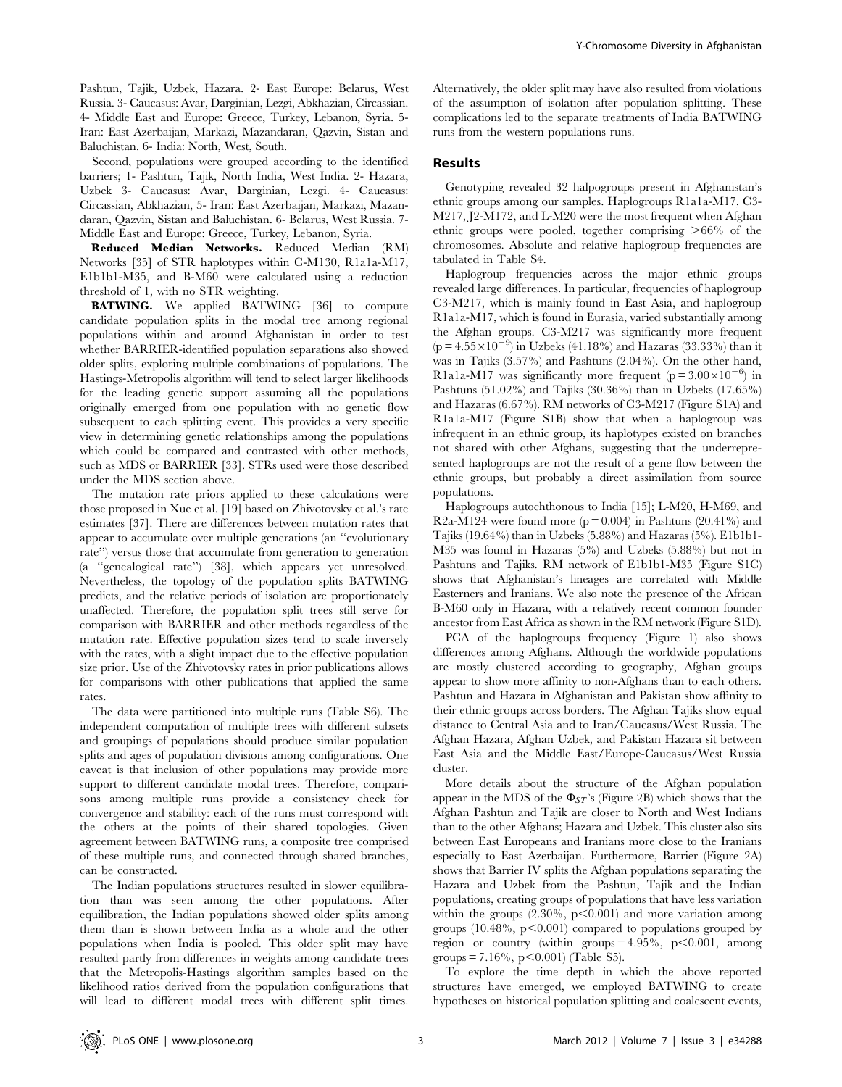Pashtun, Tajik, Uzbek, Hazara. 2- East Europe: Belarus, West Russia. 3- Caucasus: Avar, Darginian, Lezgi, Abkhazian, Circassian. 4- Middle East and Europe: Greece, Turkey, Lebanon, Syria. 5- Iran: East Azerbaijan, Markazi, Mazandaran, Qazvin, Sistan and Baluchistan. 6- India: North, West, South.

Second, populations were grouped according to the identified barriers; 1- Pashtun, Tajik, North India, West India. 2- Hazara, Uzbek 3- Caucasus: Avar, Darginian, Lezgi. 4- Caucasus: Circassian, Abkhazian, 5- Iran: East Azerbaijan, Markazi, Mazandaran, Qazvin, Sistan and Baluchistan. 6- Belarus, West Russia. 7- Middle East and Europe: Greece, Turkey, Lebanon, Syria.

Reduced Median Networks. Reduced Median (RM) Networks [35] of STR haplotypes within C-M130, R1a1a-M17, E1b1b1-M35, and B-M60 were calculated using a reduction threshold of 1, with no STR weighting.

BATWING. We applied BATWING [36] to compute candidate population splits in the modal tree among regional populations within and around Afghanistan in order to test whether BARRIER-identified population separations also showed older splits, exploring multiple combinations of populations. The Hastings-Metropolis algorithm will tend to select larger likelihoods for the leading genetic support assuming all the populations originally emerged from one population with no genetic flow subsequent to each splitting event. This provides a very specific view in determining genetic relationships among the populations which could be compared and contrasted with other methods, such as MDS or BARRIER [33]. STRs used were those described under the MDS section above.

The mutation rate priors applied to these calculations were those proposed in Xue et al. [19] based on Zhivotovsky et al.'s rate estimates [37]. There are differences between mutation rates that appear to accumulate over multiple generations (an ''evolutionary rate'') versus those that accumulate from generation to generation (a ''genealogical rate'') [38], which appears yet unresolved. Nevertheless, the topology of the population splits BATWING predicts, and the relative periods of isolation are proportionately unaffected. Therefore, the population split trees still serve for comparison with BARRIER and other methods regardless of the mutation rate. Effective population sizes tend to scale inversely with the rates, with a slight impact due to the effective population size prior. Use of the Zhivotovsky rates in prior publications allows for comparisons with other publications that applied the same rates.

The data were partitioned into multiple runs (Table S6). The independent computation of multiple trees with different subsets and groupings of populations should produce similar population splits and ages of population divisions among configurations. One caveat is that inclusion of other populations may provide more support to different candidate modal trees. Therefore, comparisons among multiple runs provide a consistency check for convergence and stability: each of the runs must correspond with the others at the points of their shared topologies. Given agreement between BATWING runs, a composite tree comprised of these multiple runs, and connected through shared branches, can be constructed.

The Indian populations structures resulted in slower equilibration than was seen among the other populations. After equilibration, the Indian populations showed older splits among them than is shown between India as a whole and the other populations when India is pooled. This older split may have resulted partly from differences in weights among candidate trees that the Metropolis-Hastings algorithm samples based on the likelihood ratios derived from the population configurations that will lead to different modal trees with different split times.

Alternatively, the older split may have also resulted from violations of the assumption of isolation after population splitting. These complications led to the separate treatments of India BATWING runs from the western populations runs.

# Results

Genotyping revealed 32 halpogroups present in Afghanistan's ethnic groups among our samples. Haplogroups R1a1a-M17, C3- M217, J2-M172, and L-M20 were the most frequent when Afghan ethnic groups were pooled, together comprising  $>66\%$  of the chromosomes. Absolute and relative haplogroup frequencies are tabulated in Table S4.

Haplogroup frequencies across the major ethnic groups revealed large differences. In particular, frequencies of haplogroup C3-M217, which is mainly found in East Asia, and haplogroup R1a1a-M17, which is found in Eurasia, varied substantially among the Afghan groups. C3-M217 was significantly more frequent  $(p = 4.55 \times 10^{-9})$  in Uzbeks (41.18%) and Hazaras (33.33%) than it was in Tajiks (3.57%) and Pashtuns (2.04%). On the other hand, R1a1a-M17 was significantly more frequent ( $p = 3.00 \times 10^{-6}$ ) in Pashtuns (51.02%) and Tajiks (30.36%) than in Uzbeks (17.65%) and Hazaras (6.67%). RM networks of C3-M217 (Figure S1A) and R1a1a-M17 (Figure S1B) show that when a haplogroup was infrequent in an ethnic group, its haplotypes existed on branches not shared with other Afghans, suggesting that the underrepresented haplogroups are not the result of a gene flow between the ethnic groups, but probably a direct assimilation from source populations.

Haplogroups autochthonous to India [15]; L-M20, H-M69, and R2a-M124 were found more ( $p = 0.004$ ) in Pashtuns (20.41%) and Tajiks (19.64%) than in Uzbeks (5.88%) and Hazaras (5%). E1b1b1- M35 was found in Hazaras (5%) and Uzbeks (5.88%) but not in Pashtuns and Tajiks. RM network of E1b1b1-M35 (Figure S1C) shows that Afghanistan's lineages are correlated with Middle Easterners and Iranians. We also note the presence of the African B-M60 only in Hazara, with a relatively recent common founder ancestor from East Africa as shown in the RM network (Figure S1D).

PCA of the haplogroups frequency (Figure 1) also shows differences among Afghans. Although the worldwide populations are mostly clustered according to geography, Afghan groups appear to show more affinity to non-Afghans than to each others. Pashtun and Hazara in Afghanistan and Pakistan show affinity to their ethnic groups across borders. The Afghan Tajiks show equal distance to Central Asia and to Iran/Caucasus/West Russia. The Afghan Hazara, Afghan Uzbek, and Pakistan Hazara sit between East Asia and the Middle East/Europe-Caucasus/West Russia cluster.

More details about the structure of the Afghan population appear in the MDS of the  $\Phi_{ST}$ 's (Figure 2B) which shows that the Afghan Pashtun and Tajik are closer to North and West Indians than to the other Afghans; Hazara and Uzbek. This cluster also sits between East Europeans and Iranians more close to the Iranians especially to East Azerbaijan. Furthermore, Barrier (Figure 2A) shows that Barrier IV splits the Afghan populations separating the Hazara and Uzbek from the Pashtun, Tajik and the Indian populations, creating groups of populations that have less variation within the groups  $(2.30\%, p<0.001)$  and more variation among groups (10.48%,  $p<0.001$ ) compared to populations grouped by region or country (within groups  $= 4.95\%$ , p $< 0.001$ , among groups = 7.16%, p $\leq$ 0.001) (Table S5).

To explore the time depth in which the above reported structures have emerged, we employed BATWING to create hypotheses on historical population splitting and coalescent events,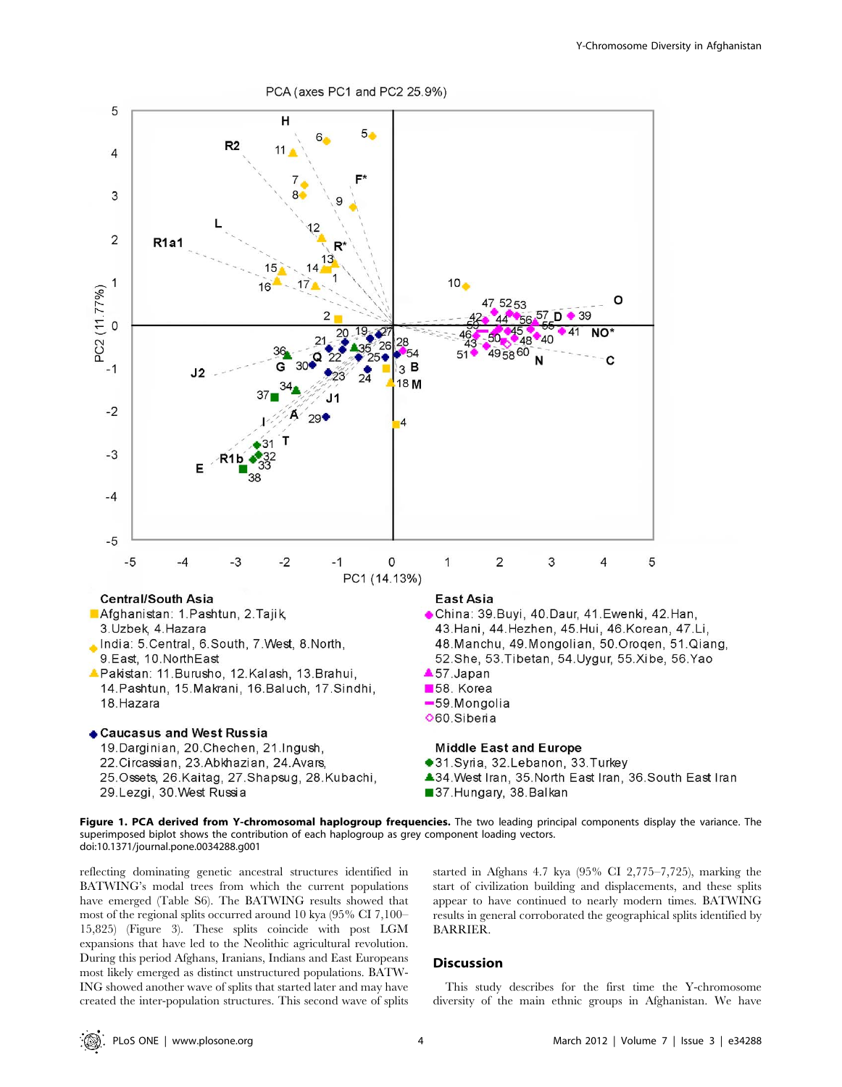

Figure 1. PCA derived from Y-chromosomal haplogroup frequencies. The two leading principal components display the variance. The superimposed biplot shows the contribution of each haplogroup as grey component loading vectors. doi:10.1371/journal.pone.0034288.g001

reflecting dominating genetic ancestral structures identified in BATWING's modal trees from which the current populations have emerged (Table S6). The BATWING results showed that most of the regional splits occurred around 10 kya (95% CI 7,100– 15,825) (Figure 3). These splits coincide with post LGM expansions that have led to the Neolithic agricultural revolution. During this period Afghans, Iranians, Indians and East Europeans most likely emerged as distinct unstructured populations. BATW-ING showed another wave of splits that started later and may have created the inter-population structures. This second wave of splits started in Afghans 4.7 kya (95% CI 2,775–7,725), marking the start of civilization building and displacements, and these splits appear to have continued to nearly modern times. BATWING results in general corroborated the geographical splits identified by BARRIER.

#### **Discussion**

This study describes for the first time the Y-chromosome diversity of the main ethnic groups in Afghanistan. We have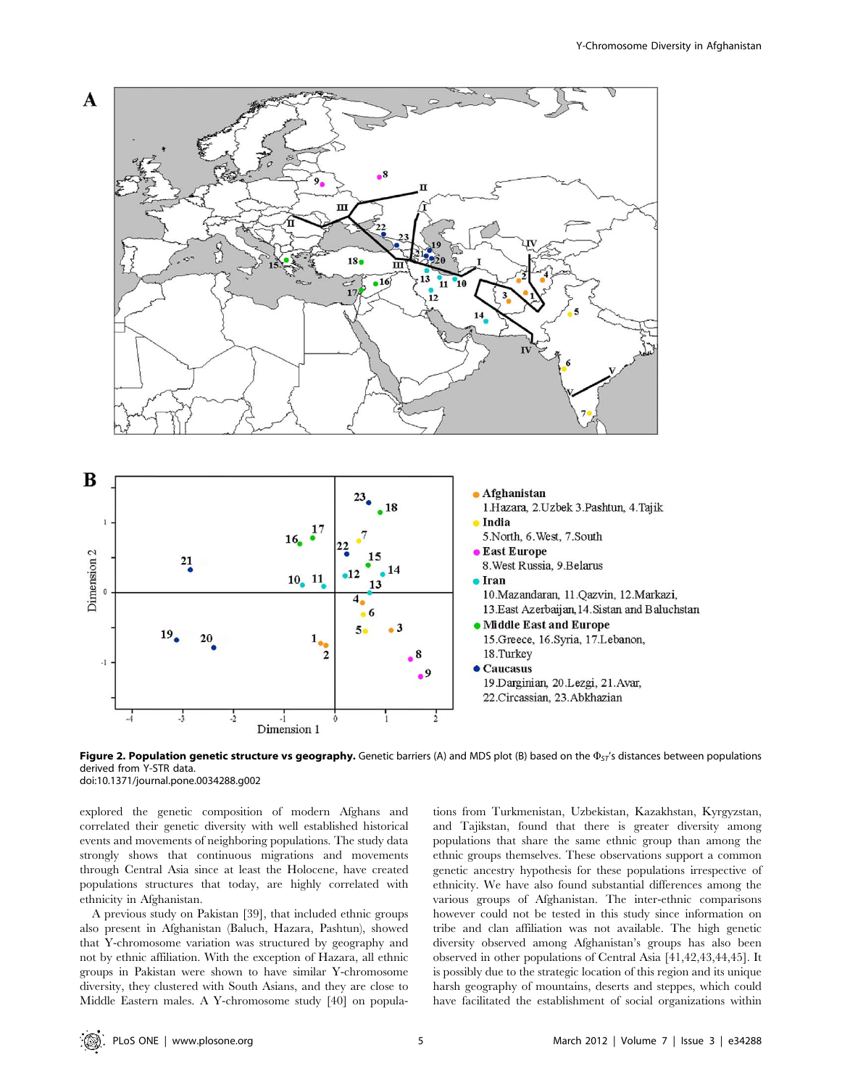

Figure 2. Population genetic structure vs geography. Genetic barriers (A) and MDS plot (B) based on the  $\Phi_{ST}$ 's distances between populations derived from Y-STR data. doi:10.1371/journal.pone.0034288.g002

explored the genetic composition of modern Afghans and correlated their genetic diversity with well established historical events and movements of neighboring populations. The study data strongly shows that continuous migrations and movements through Central Asia since at least the Holocene, have created populations structures that today, are highly correlated with ethnicity in Afghanistan.

A previous study on Pakistan [39], that included ethnic groups also present in Afghanistan (Baluch, Hazara, Pashtun), showed that Y-chromosome variation was structured by geography and not by ethnic affiliation. With the exception of Hazara, all ethnic groups in Pakistan were shown to have similar Y-chromosome diversity, they clustered with South Asians, and they are close to Middle Eastern males. A Y-chromosome study [40] on populations from Turkmenistan, Uzbekistan, Kazakhstan, Kyrgyzstan, and Tajikstan, found that there is greater diversity among populations that share the same ethnic group than among the ethnic groups themselves. These observations support a common genetic ancestry hypothesis for these populations irrespective of ethnicity. We have also found substantial differences among the various groups of Afghanistan. The inter-ethnic comparisons however could not be tested in this study since information on tribe and clan affiliation was not available. The high genetic diversity observed among Afghanistan's groups has also been observed in other populations of Central Asia [41,42,43,44,45]. It is possibly due to the strategic location of this region and its unique harsh geography of mountains, deserts and steppes, which could have facilitated the establishment of social organizations within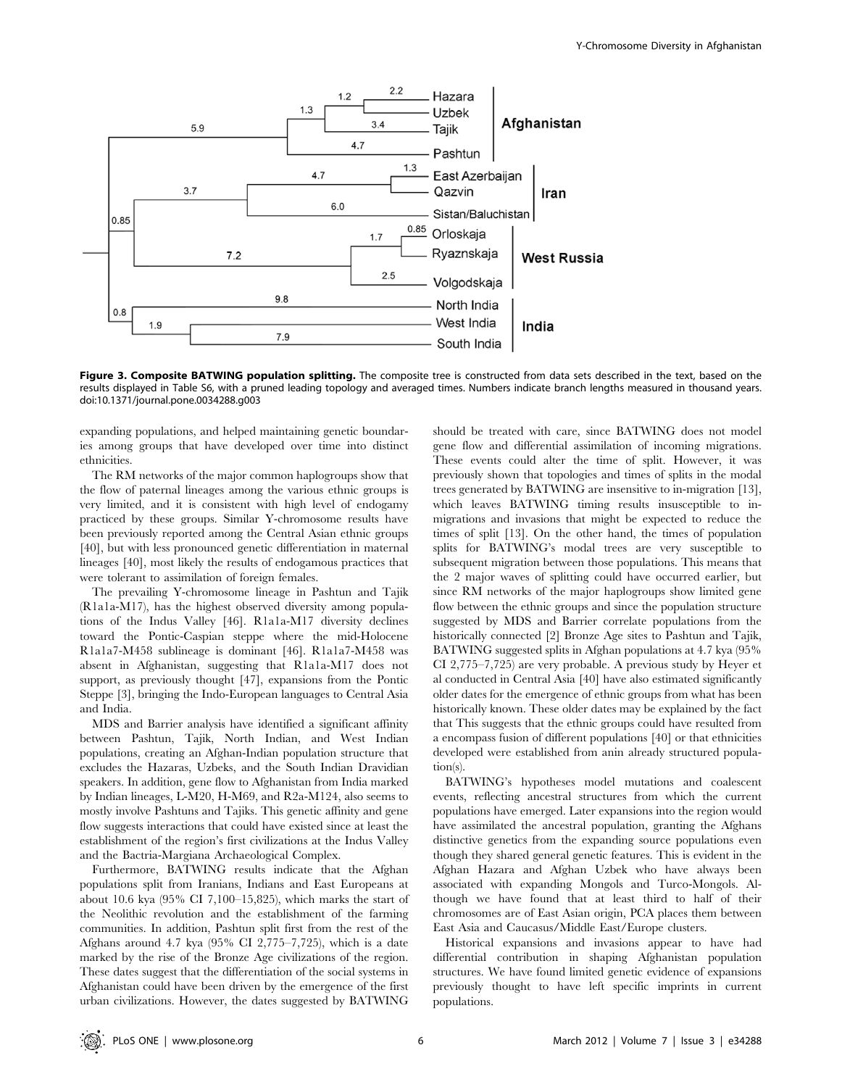

Figure 3. Composite BATWING population splitting. The composite tree is constructed from data sets described in the text, based on the results displayed in Table S6, with a pruned leading topology and averaged times. Numbers indicate branch lengths measured in thousand years. doi:10.1371/journal.pone.0034288.g003

expanding populations, and helped maintaining genetic boundaries among groups that have developed over time into distinct ethnicities.

The RM networks of the major common haplogroups show that the flow of paternal lineages among the various ethnic groups is very limited, and it is consistent with high level of endogamy practiced by these groups. Similar Y-chromosome results have been previously reported among the Central Asian ethnic groups [40], but with less pronounced genetic differentiation in maternal lineages [40], most likely the results of endogamous practices that were tolerant to assimilation of foreign females.

The prevailing Y-chromosome lineage in Pashtun and Tajik (R1a1a-M17), has the highest observed diversity among populations of the Indus Valley [46]. R1a1a-M17 diversity declines toward the Pontic-Caspian steppe where the mid-Holocene R1a1a7-M458 sublineage is dominant [46]. R1a1a7-M458 was absent in Afghanistan, suggesting that R1a1a-M17 does not support, as previously thought [47], expansions from the Pontic Steppe [3], bringing the Indo-European languages to Central Asia and India.

MDS and Barrier analysis have identified a significant affinity between Pashtun, Tajik, North Indian, and West Indian populations, creating an Afghan-Indian population structure that excludes the Hazaras, Uzbeks, and the South Indian Dravidian speakers. In addition, gene flow to Afghanistan from India marked by Indian lineages, L-M20, H-M69, and R2a-M124, also seems to mostly involve Pashtuns and Tajiks. This genetic affinity and gene flow suggests interactions that could have existed since at least the establishment of the region's first civilizations at the Indus Valley and the Bactria-Margiana Archaeological Complex.

Furthermore, BATWING results indicate that the Afghan populations split from Iranians, Indians and East Europeans at about 10.6 kya (95% CI 7,100–15,825), which marks the start of the Neolithic revolution and the establishment of the farming communities. In addition, Pashtun split first from the rest of the Afghans around 4.7 kya (95% CI 2,775–7,725), which is a date marked by the rise of the Bronze Age civilizations of the region. These dates suggest that the differentiation of the social systems in Afghanistan could have been driven by the emergence of the first urban civilizations. However, the dates suggested by BATWING

should be treated with care, since BATWING does not model gene flow and differential assimilation of incoming migrations. These events could alter the time of split. However, it was previously shown that topologies and times of splits in the modal trees generated by BATWING are insensitive to in-migration [13], which leaves BATWING timing results insusceptible to inmigrations and invasions that might be expected to reduce the times of split [13]. On the other hand, the times of population splits for BATWING's modal trees are very susceptible to subsequent migration between those populations. This means that the 2 major waves of splitting could have occurred earlier, but since RM networks of the major haplogroups show limited gene flow between the ethnic groups and since the population structure suggested by MDS and Barrier correlate populations from the historically connected [2] Bronze Age sites to Pashtun and Tajik, BATWING suggested splits in Afghan populations at 4.7 kya (95% CI 2,775–7,725) are very probable. A previous study by Heyer et al conducted in Central Asia [40] have also estimated significantly older dates for the emergence of ethnic groups from what has been historically known. These older dates may be explained by the fact that This suggests that the ethnic groups could have resulted from a encompass fusion of different populations [40] or that ethnicities developed were established from anin already structured population(s).

BATWING's hypotheses model mutations and coalescent events, reflecting ancestral structures from which the current populations have emerged. Later expansions into the region would have assimilated the ancestral population, granting the Afghans distinctive genetics from the expanding source populations even though they shared general genetic features. This is evident in the Afghan Hazara and Afghan Uzbek who have always been associated with expanding Mongols and Turco-Mongols. Although we have found that at least third to half of their chromosomes are of East Asian origin, PCA places them between East Asia and Caucasus/Middle East/Europe clusters.

Historical expansions and invasions appear to have had differential contribution in shaping Afghanistan population structures. We have found limited genetic evidence of expansions previously thought to have left specific imprints in current populations.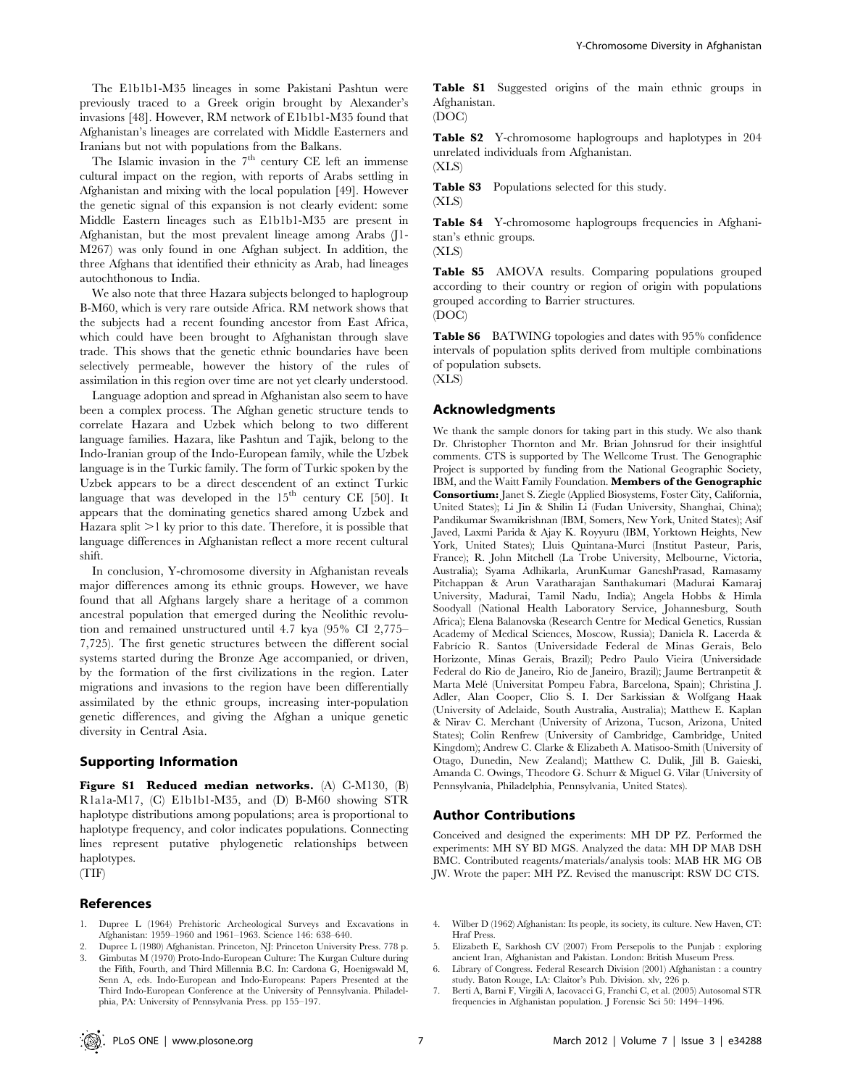The E1b1b1-M35 lineages in some Pakistani Pashtun were previously traced to a Greek origin brought by Alexander's invasions [48]. However, RM network of E1b1b1-M35 found that Afghanistan's lineages are correlated with Middle Easterners and Iranians but not with populations from the Balkans.

The Islamic invasion in the  $7<sup>th</sup>$  century CE left an immense cultural impact on the region, with reports of Arabs settling in Afghanistan and mixing with the local population [49]. However the genetic signal of this expansion is not clearly evident: some Middle Eastern lineages such as E1b1b1-M35 are present in Afghanistan, but the most prevalent lineage among Arabs (J1- M267) was only found in one Afghan subject. In addition, the three Afghans that identified their ethnicity as Arab, had lineages autochthonous to India.

We also note that three Hazara subjects belonged to haplogroup B-M60, which is very rare outside Africa. RM network shows that the subjects had a recent founding ancestor from East Africa, which could have been brought to Afghanistan through slave trade. This shows that the genetic ethnic boundaries have been selectively permeable, however the history of the rules of assimilation in this region over time are not yet clearly understood.

Language adoption and spread in Afghanistan also seem to have been a complex process. The Afghan genetic structure tends to correlate Hazara and Uzbek which belong to two different language families. Hazara, like Pashtun and Tajik, belong to the Indo-Iranian group of the Indo-European family, while the Uzbek language is in the Turkic family. The form of Turkic spoken by the Uzbek appears to be a direct descendent of an extinct Turkic language that was developed in the  $15<sup>th</sup>$  century CE [50]. It appears that the dominating genetics shared among Uzbek and Hazara split  $>1$  ky prior to this date. Therefore, it is possible that language differences in Afghanistan reflect a more recent cultural shift.

In conclusion, Y-chromosome diversity in Afghanistan reveals major differences among its ethnic groups. However, we have found that all Afghans largely share a heritage of a common ancestral population that emerged during the Neolithic revolution and remained unstructured until 4.7 kya (95% CI 2,775– 7,725). The first genetic structures between the different social systems started during the Bronze Age accompanied, or driven, by the formation of the first civilizations in the region. Later migrations and invasions to the region have been differentially assimilated by the ethnic groups, increasing inter-population genetic differences, and giving the Afghan a unique genetic diversity in Central Asia.

## Supporting Information

Figure S1 Reduced median networks. (A) C-M130, (B) R1a1a-M17, (C) E1b1b1-M35, and (D) B-M60 showing STR haplotype distributions among populations; area is proportional to haplotype frequency, and color indicates populations. Connecting lines represent putative phylogenetic relationships between haplotypes. (TIF)

#### References

- 1. Dupree L (1964) Prehistoric Archeological Surveys and Excavations in Afghanistan: 1959–1960 and 1961–1963. Science 146: 638–640.
- 2. Dupree L (1980) Afghanistan. Princeton, NJ: Princeton University Press. 778 p. 3. Gimbutas M (1970) Proto-Indo-European Culture: The Kurgan Culture during
- the Fifth, Fourth, and Third Millennia B.C. In: Cardona G, Hoenigswald M, Senn A, eds. Indo-European and Indo-Europeans: Papers Presented at the Third Indo-European Conference at the University of Pennsylvania. Philadelphia, PA: University of Pennsylvania Press. pp 155–197.

Table S1 Suggested origins of the main ethnic groups in Afghanistan. (DOC)

Table S2 Y-chromosome haplogroups and haplotypes in 204 unrelated individuals from Afghanistan. (XLS)

Table S3 Populations selected for this study. (XLS)

Table S4 Y-chromosome haplogroups frequencies in Afghanistan's ethnic groups.

(XLS)

Table S5 AMOVA results. Comparing populations grouped according to their country or region of origin with populations grouped according to Barrier structures. (DOC)

Table S6 BATWING topologies and dates with 95% confidence intervals of population splits derived from multiple combinations of population subsets. (XLS)

## Acknowledgments

We thank the sample donors for taking part in this study. We also thank Dr. Christopher Thornton and Mr. Brian Johnsrud for their insightful comments. CTS is supported by The Wellcome Trust. The Genographic Project is supported by funding from the National Geographic Society, IBM, and the Waitt Family Foundation. Members of the Genographic Consortium: Janet S. Ziegle (Applied Biosystems, Foster City, California, United States); Li Jin & Shilin Li (Fudan University, Shanghai, China); Pandikumar Swamikrishnan (IBM, Somers, New York, United States); Asif Javed, Laxmi Parida & Ajay K. Royyuru (IBM, Yorktown Heights, New York, United States); Lluis Quintana-Murci (Institut Pasteur, Paris, France); R. John Mitchell (La Trobe University, Melbourne, Victoria, Australia); Syama Adhikarla, ArunKumar GaneshPrasad, Ramasamy Pitchappan & Arun Varatharajan Santhakumari (Madurai Kamaraj University, Madurai, Tamil Nadu, India); Angela Hobbs & Himla Soodyall (National Health Laboratory Service, Johannesburg, South Africa); Elena Balanovska (Research Centre for Medical Genetics, Russian Academy of Medical Sciences, Moscow, Russia); Daniela R. Lacerda & Fabrı´cio R. Santos (Universidade Federal de Minas Gerais, Belo Horizonte, Minas Gerais, Brazil); Pedro Paulo Vieira (Universidade Federal do Rio de Janeiro, Rio de Janeiro, Brazil); Jaume Bertranpetit & Marta Mele´ (Universitat Pompeu Fabra, Barcelona, Spain); Christina J. Adler, Alan Cooper, Clio S. I. Der Sarkissian & Wolfgang Haak (University of Adelaide, South Australia, Australia); Matthew E. Kaplan & Nirav C. Merchant (University of Arizona, Tucson, Arizona, United States); Colin Renfrew (University of Cambridge, Cambridge, United Kingdom); Andrew C. Clarke & Elizabeth A. Matisoo-Smith (University of Otago, Dunedin, New Zealand); Matthew C. Dulik, Jill B. Gaieski, Amanda C. Owings, Theodore G. Schurr & Miguel G. Vilar (University of Pennsylvania, Philadelphia, Pennsylvania, United States).

#### Author Contributions

Conceived and designed the experiments: MH DP PZ. Performed the experiments: MH SY BD MGS. Analyzed the data: MH DP MAB DSH BMC. Contributed reagents/materials/analysis tools: MAB HR MG OB JW. Wrote the paper: MH PZ. Revised the manuscript: RSW DC CTS.

- 4. Wilber D (1962) Afghanistan: Its people, its society, its culture. New Haven, CT: Hraf Press.
- 5. Elizabeth E, Sarkhosh CV (2007) From Persepolis to the Punjab : exploring ancient Iran, Afghanistan and Pakistan. London: British Museum Press. 6. Library of Congress. Federal Research Division (2001) Afghanistan : a country
- study. Baton Rouge, LA: Claitor's Pub. Division. xlv, 226 p.
- 7. Berti A, Barni F, Virgili A, Iacovacci G, Franchi C, et al. (2005) Autosomal STR frequencies in Afghanistan population. J Forensic Sci 50: 1494–1496.